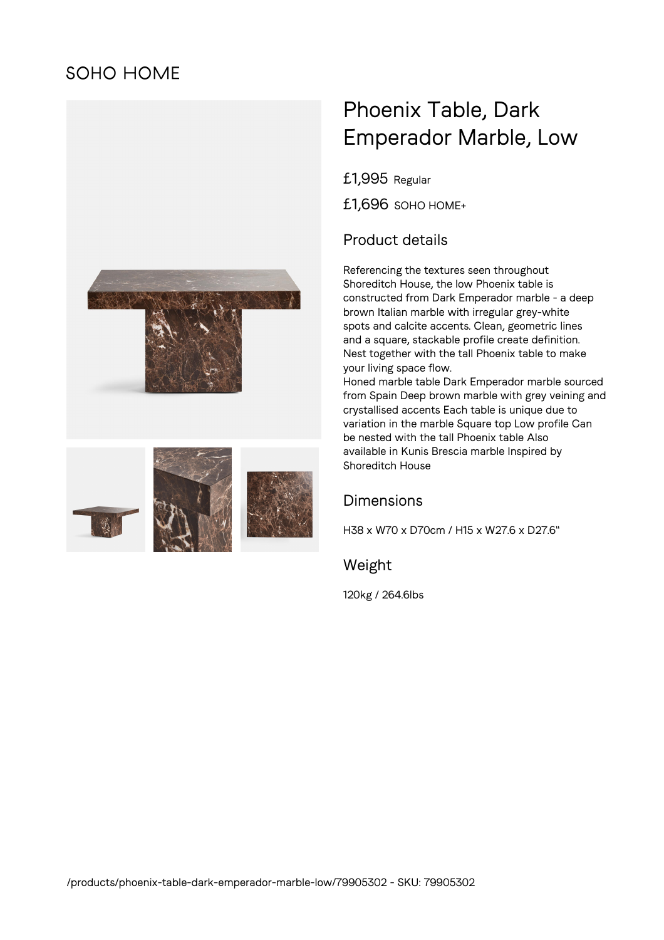# **SOHO HOME**





# Phoenix Table, Dark Emperador Marble, Low

£1,995 Regular

£1,696 SOHO HOME+

## Product details

Referencing the textures seen throughout Shoreditch House, the low Phoenix table is constructed from Dark Emperador marble - a deep brown Italian marble with irregular grey-white spots and calcite accents. Clean, geometric lines and a square, stackable profile create definition. Nest together with the tall Phoenix table to make your living space flow.

Honed marble table Dark Emperador marble sourced from Spain Deep brown marble with grey veining and crystallised accents Each table is unique due to variation in the marble Square top Low profile Can be nested with the tall Phoenix table Also available in Kunis Brescia marble Inspired by Shoreditch House

### Dimensions

H38 x W70 x D70cm / H15 x W27.6 x D27.6"

Weight

120kg / 264.6lbs